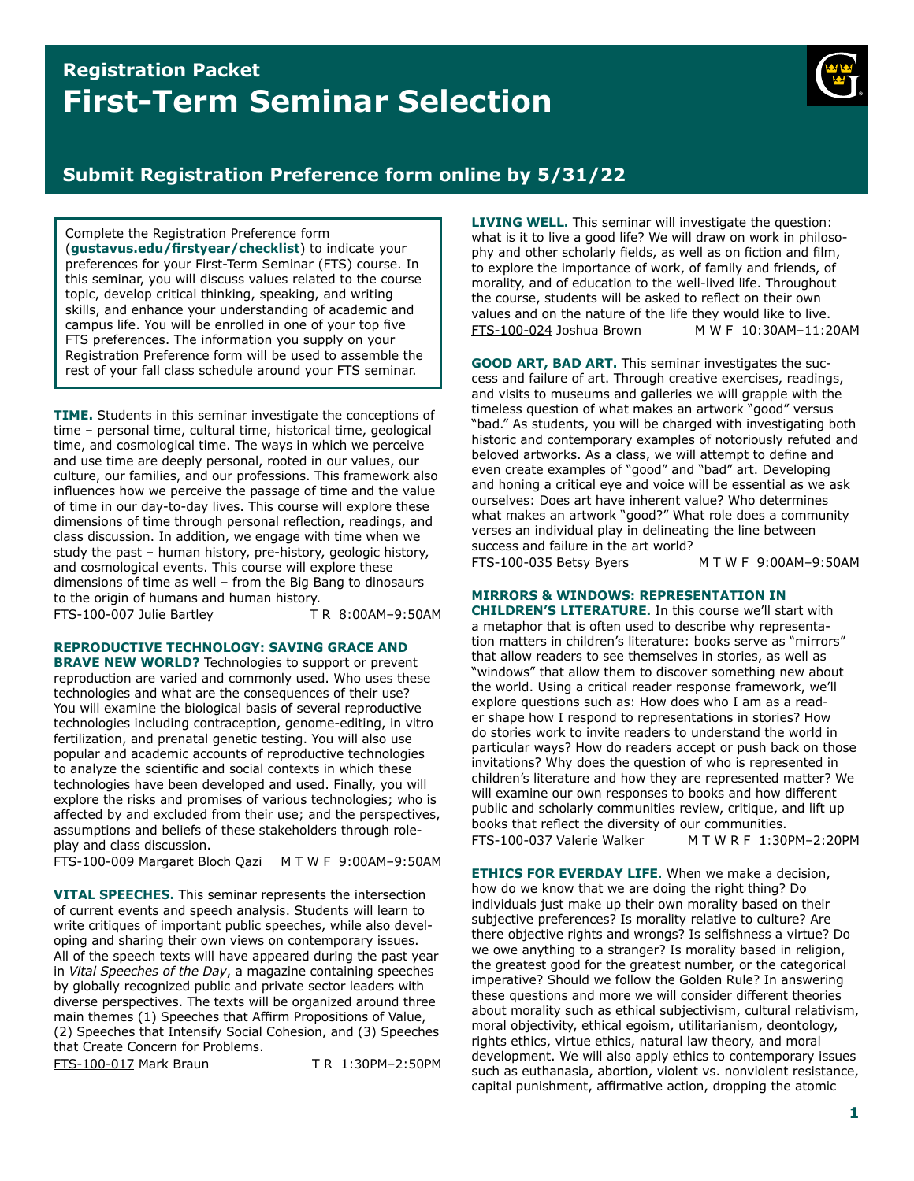# **Registration Packet First-Term Seminar Selection**



# **Submit Registration Preference form online by 5/31/22**

Complete the Registration Preference form (**[gustavus.edu/frstyear/checklist](https://gustavus.edu/firstyear/checklist)**) to indicate your preferences for your First-Term Seminar (FTS) course. In this seminar, you will discuss values related to the course topic, develop critical thinking, speaking, and writing skills, and enhance your understanding of academic and campus life. You will be enrolled in one of your top fve FTS preferences. The information you supply on your Registration Preference form will be used to assemble the rest of your fall class schedule around your FTS seminar.

**TIME.** Students in this seminar investigate the conceptions of time – personal time, cultural time, historical time, geological time, and cosmological time. The ways in which we perceive and use time are deeply personal, rooted in our values, our culture, our families, and our professions. This framework also infuences how we perceive the passage of time and the value of time in our day-to-day lives. This course will explore these dimensions of time through personal refection, readings, and class discussion. In addition, we engage with time when we study the past – human history, pre-history, geologic history, and cosmological events. This course will explore these dimensions of time as well – from the Big Bang to dinosaurs to the origin of humans and human history. FTS-100-007 Julie Bartley T R 8:00AM–9:50AM

**REPRODUCTIVE TECHNOLOGY: SAVING GRACE AND BRAVE NEW WORLD?** Technologies to support or prevent reproduction are varied and commonly used. Who uses these technologies and what are the consequences of their use? You will examine the biological basis of several reproductive technologies including contraception, genome-editing, in vitro fertilization, and prenatal genetic testing. You will also use popular and academic accounts of reproductive technologies to analyze the scientifc and social contexts in which these technologies have been developed and used. Finally, you will explore the risks and promises of various technologies; who is affected by and excluded from their use; and the perspectives, assumptions and beliefs of these stakeholders through roleplay and class discussion.

FTS-100-009 Margaret Bloch Qazi M T W F 9:00AM–9:50AM

**VITAL SPEECHES.** This seminar represents the intersection of current events and speech analysis. Students will learn to write critiques of important public speeches, while also developing and sharing their own views on contemporary issues. All of the speech texts will have appeared during the past year in *Vital Speeches of the Day*, a magazine containing speeches by globally recognized public and private sector leaders with diverse perspectives. The texts will be organized around three main themes (1) Speeches that Affrm Propositions of Value, (2) Speeches that Intensify Social Cohesion, and (3) Speeches that Create Concern for Problems.

FTS-100-017 Mark Braun T R 1:30PM–2:50PM

**LIVING WELL.** This seminar will investigate the question: what is it to live a good life? We will draw on work in philosophy and other scholarly fields, as well as on fiction and film, to explore the importance of work, of family and friends, of morality, and of education to the well-lived life. Throughout the course, students will be asked to refect on their own values and on the nature of the life they would like to live. FTS-100-024 Joshua Brown M W F 10:30AM–11:20AM

**GOOD ART, BAD ART.** This seminar investigates the success and failure of art. Through creative exercises, readings, and visits to museums and galleries we will grapple with the timeless question of what makes an artwork "good" versus "bad." As students, you will be charged with investigating both historic and contemporary examples of notoriously refuted and beloved artworks. As a class, we will attempt to defne and even create examples of "good" and "bad" art. Developing and honing a critical eye and voice will be essential as we ask ourselves: Does art have inherent value? Who determines what makes an artwork "good?" What role does a community verses an individual play in delineating the line between success and failure in the art world?

FTS-100-035 Betsy Byers M T W F 9:00AM–9:50AM

### **MIRRORS & WINDOWS: REPRESENTATION IN**

**CHILDREN'S LITERATURE.** In this course we'll start with a metaphor that is often used to describe why representation matters in children's literature: books serve as "mirrors" that allow readers to see themselves in stories, as well as "windows" that allow them to discover something new about the world. Using a critical reader response framework, we'll explore questions such as: How does who I am as a reader shape how I respond to representations in stories? How do stories work to invite readers to understand the world in particular ways? How do readers accept or push back on those invitations? Why does the question of who is represented in children's literature and how they are represented matter? We will examine our own responses to books and how different public and scholarly communities review, critique, and lift up books that refect the diversity of our communities. FTS-100-037 Valerie Walker M T W R F 1:30PM–2:20PM

**ETHICS FOR EVERDAY LIFE.** When we make a decision, how do we know that we are doing the right thing? Do individuals just make up their own morality based on their subjective preferences? Is morality relative to culture? Are there objective rights and wrongs? Is selfshness a virtue? Do we owe anything to a stranger? Is morality based in religion, the greatest good for the greatest number, or the categorical imperative? Should we follow the Golden Rule? In answering these questions and more we will consider different theories about morality such as ethical subjectivism, cultural relativism, moral objectivity, ethical egoism, utilitarianism, deontology, rights ethics, virtue ethics, natural law theory, and moral development. We will also apply ethics to contemporary issues such as euthanasia, abortion, violent vs. nonviolent resistance, capital punishment, affrmative action, dropping the atomic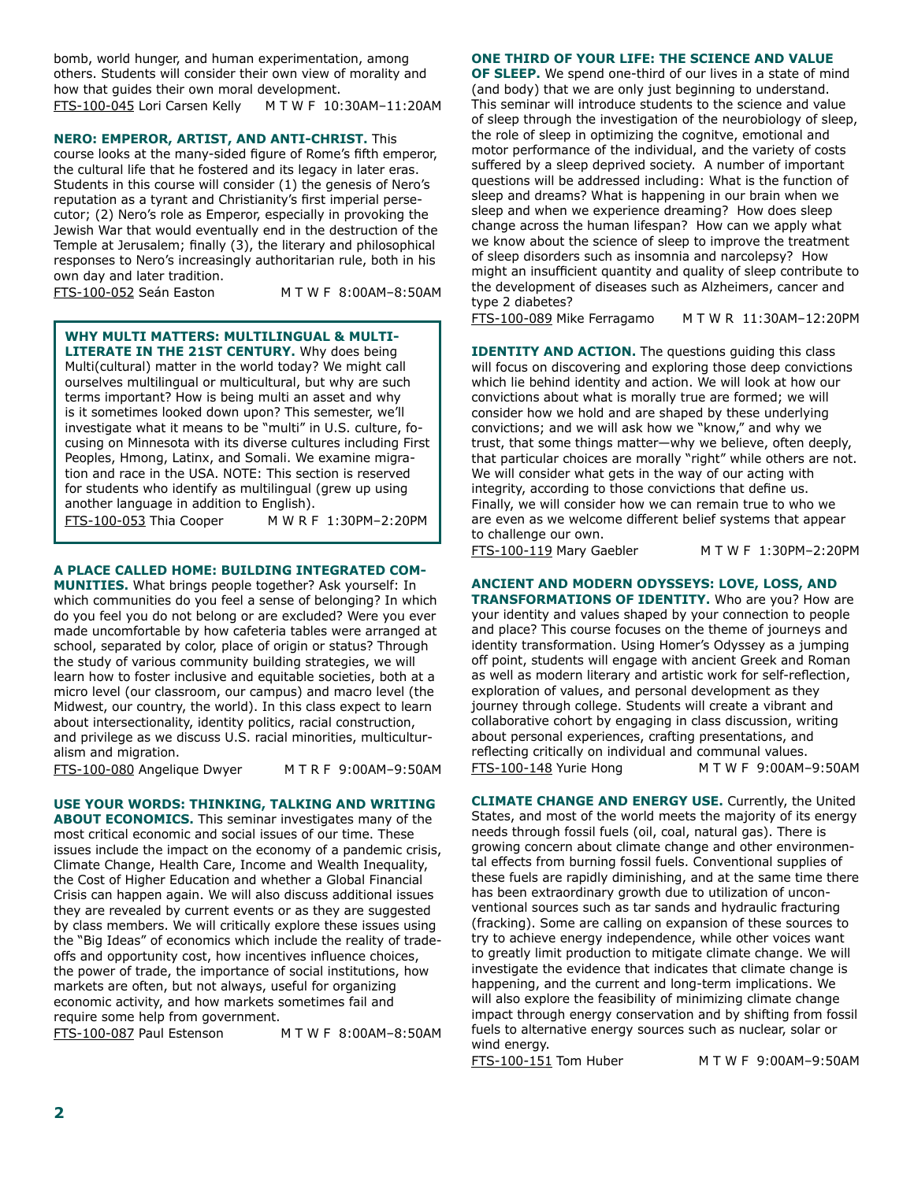bomb, world hunger, and human experimentation, among others. Students will consider their own view of morality and how that guides their own moral development. FTS-100-045 Lori Carsen Kelly M T W F 10:30AM–11:20AM

**NERO: EMPEROR, ARTIST, AND ANTI-CHRIST.** This

course looks at the many-sided figure of Rome's fifth emperor. the cultural life that he fostered and its legacy in later eras. Students in this course will consider (1) the genesis of Nero's reputation as a tyrant and Christianity's frst imperial persecutor; (2) Nero's role as Emperor, especially in provoking the Jewish War that would eventually end in the destruction of the Temple at Jerusalem; fnally (3), the literary and philosophical responses to Nero's increasingly authoritarian rule, both in his own day and later tradition.

FTS-100-052 Seán Easton M T W F 8:00AM–8:50AM

**WHY MULTI MATTERS: MULTILINGUAL & MULTI-**

**LITERATE IN THE 21ST CENTURY.** Why does being **ATE IN THE 21 Multi(cultural) matter in the world today? We might call** ourselves multilingual or multicultural, but why are such terms important? How is being multi an asset and why is it sometimes looked down upon? This semester, we'll I investigate what it means to be "multi" in U.S. culture, focusing on Minnesota with its diverse cultures including First Peoples, Hmong, Latinx, and Somali. We examine migration and race in the USA. NOTE: This section is reserved  $\boxed{\phantom{\text{f}}\text{for students who identify as multilingual (grew up using}\quad}$ another language in addition to English).

| <u>FTS-100-053</u> Thia Cooper M W R F 1:30PM-2:20PM |

#### **A PLACE CALLED HOME: BUILDING INTEGRATED COM-**

**MUNITIES.** What brings people together? Ask yourself: In which communities do you feel a sense of belonging? In which do you feel you do not belong or are excluded? Were you ever made uncomfortable by how cafeteria tables were arranged at school, separated by color, place of origin or status? Through the study of various community building strategies, we will learn how to foster inclusive and equitable societies, both at a micro level (our classroom, our campus) and macro level (the Midwest, our country, the world). In this class expect to learn about intersectionality, identity politics, racial construction, and privilege as we discuss U.S. racial minorities, multiculturalism and migration.

FTS-100-080 Angelique Dwyer M T R F 9:00AM–9:50AM

#### **USE YOUR WORDS: THINKING, TALKING AND WRITING**

**ABOUT ECONOMICS.** This seminar investigates many of the most critical economic and social issues of our time. These issues include the impact on the economy of a pandemic crisis, Climate Change, Health Care, Income and Wealth Inequality, the Cost of Higher Education and whether a Global Financial Crisis can happen again. We will also discuss additional issues they are revealed by current events or as they are suggested by class members. We will critically explore these issues using the "Big Ideas" of economics which include the reality of tradeoffs and opportunity cost, how incentives infuence choices, the power of trade, the importance of social institutions, how markets are often, but not always, useful for organizing economic activity, and how markets sometimes fail and require some help from government.

FTS-100-087 Paul Estenson M T W F 8:00AM–8:50AM

#### **ONE THIRD OF YOUR LIFE: THE SCIENCE AND VALUE**

**OF SLEEP.** We spend one-third of our lives in a state of mind (and body) that we are only just beginning to understand. This seminar will introduce students to the science and value of sleep through the investigation of the neurobiology of sleep, the role of sleep in optimizing the cognitve, emotional and motor performance of the individual, and the variety of costs suffered by a sleep deprived society. A number of important questions will be addressed including: What is the function of sleep and dreams? What is happening in our brain when we sleep and when we experience dreaming? How does sleep change across the human lifespan? How can we apply what we know about the science of sleep to improve the treatment of sleep disorders such as insomnia and narcolepsy? How might an insufficient quantity and quality of sleep contribute to the development of diseases such as Alzheimers, cancer and type 2 diabetes?

FTS-100-089 Mike Ferragamo M T W R 11:30AM–12:20PM

**IDENTITY AND ACTION.** The questions quiding this class will focus on discovering and exploring those deep convictions which lie behind identity and action. We will look at how our convictions about what is morally true are formed; we will consider how we hold and are shaped by these underlying convictions; and we will ask how we "know," and why we trust, that some things matter—why we believe, often deeply, that particular choices are morally "right" while others are not. We will consider what gets in the way of our acting with integrity, according to those convictions that defne us. Finally, we will consider how we can remain true to who we are even as we welcome different belief systems that appear to challenge our own.

FTS-100-119 Mary Gaebler M T W F 1:30PM–2:20PM

## **ANCIENT AND MODERN ODYSSEYS: LOVE, LOSS, AND**

**TRANSFORMATIONS OF IDENTITY.** Who are you? How are your identity and values shaped by your connection to people and place? This course focuses on the theme of journeys and identity transformation. Using Homer's Odyssey as a jumping off point, students will engage with ancient Greek and Roman as well as modern literary and artistic work for self-refection, exploration of values, and personal development as they journey through college. Students will create a vibrant and collaborative cohort by engaging in class discussion, writing about personal experiences, crafting presentations, and refecting critically on individual and communal values. FTS-100-148 Yurie Hong M T W F 9:00AM–9:50AM

**CLIMATE CHANGE AND ENERGY USE.** Currently, the United States, and most of the world meets the majority of its energy needs through fossil fuels (oil, coal, natural gas). There is growing concern about climate change and other environmental effects from burning fossil fuels. Conventional supplies of these fuels are rapidly diminishing, and at the same time there has been extraordinary growth due to utilization of unconventional sources such as tar sands and hydraulic fracturing (fracking). Some are calling on expansion of these sources to try to achieve energy independence, while other voices want to greatly limit production to mitigate climate change. We will investigate the evidence that indicates that climate change is happening, and the current and long-term implications. We will also explore the feasibility of minimizing climate change impact through energy conservation and by shifting from fossil fuels to alternative energy sources such as nuclear, solar or wind energy.

FTS-100-151 Tom Huber M T W F 9:00AM–9:50AM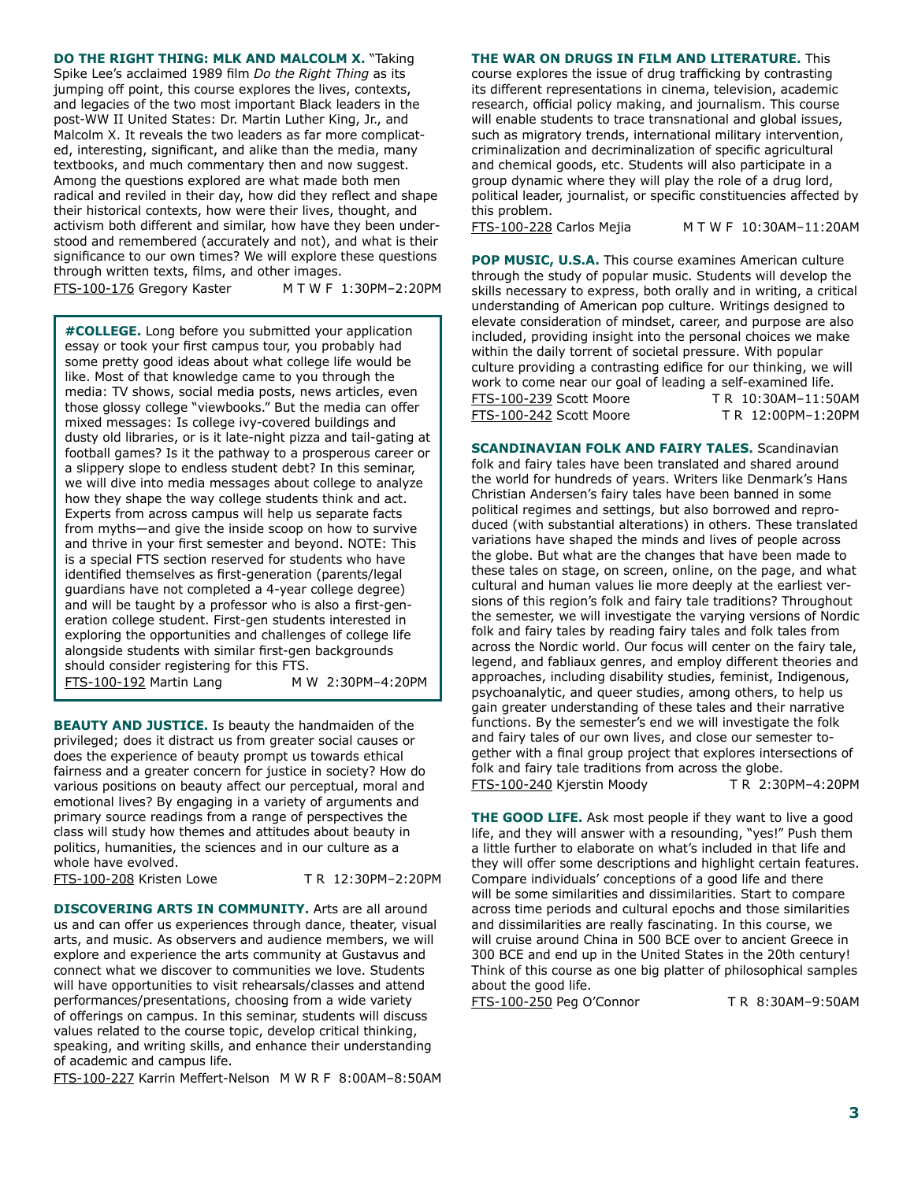**DO THE RIGHT THING: MLK AND MALCOLM X.** "Taking Spike Lee's acclaimed 1989 flm *Do the Right Thing* as its jumping off point, this course explores the lives, contexts, and legacies of the two most important Black leaders in the post-WW II United States: Dr. Martin Luther King, Jr., and Malcolm X. It reveals the two leaders as far more complicated, interesting, signifcant, and alike than the media, many textbooks, and much commentary then and now suggest. Among the questions explored are what made both men radical and reviled in their day, how did they refect and shape their historical contexts, how were their lives, thought, and activism both different and similar, how have they been understood and remembered (accurately and not), and what is their signifcance to our own times? We will explore these questions through written texts, flms, and other images. FTS-100-176 Gregory Kaster M T W F 1:30PM–2:20PM

**#COLLEGE.** Long before you submitted your application **FOULLEGE.** Long before you submitted your application essay or took your first campus tour, you probably had some pretty good ideas about what college life would be like. Most of that knowledge came to you through the media: TV shows, social media posts, news articles, even those glossy college "viewbooks." But the media can offer  $\Box$  mixed messages: Is college ivy-covered buildings and  $\vert$  dusty old libraries, or is it late-night pizza and tail-gating at  $\vert$ football games? Is it the pathway to a prosperous career or a slippery slope to endless student debt? In this seminar,  $\vert$  we will dive into media messages about college to analyze how they shape the way college students think and act.  $\mathsf{I}$  experts from across campus will neip us separate racts from myths—and give the inside scoop on how to survive and thrive in your first semester and beyond. NOTE: This  $\frac{1}{2}$ is a special FTS section reserved for students who have  $\vert$  identified themselves as first-generation (parents/legal guardians have not completed a 4-year college degree) and will be taught by a professor who is also a first-generation college student. First-gen students interested in Franching the opportunities and chanenges of college life<br>alongside students with similar first-gen backgrounds Experts from across campus will help us separate facts exploring the opportunities and challenges of college life should consider registering for this FTS. FTS-100-192 Martin Lang M W 2:30PM–4:20PM

**BEAUTY AND JUSTICE.** Is beauty the handmaiden of the privileged; does it distract us from greater social causes or does the experience of beauty prompt us towards ethical fairness and a greater concern for justice in society? How do various positions on beauty affect our perceptual, moral and emotional lives? By engaging in a variety of arguments and primary source readings from a range of perspectives the class will study how themes and attitudes about beauty in politics, humanities, the sciences and in our culture as a whole have evolved.

FTS-100-208 Kristen Lowe T R 12:30PM–2:20PM

**DISCOVERING ARTS IN COMMUNITY.** Arts are all around us and can offer us experiences through dance, theater, visual arts, and music. As observers and audience members, we will explore and experience the arts community at Gustavus and connect what we discover to communities we love. Students will have opportunities to visit rehearsals/classes and attend performances/presentations, choosing from a wide variety of offerings on campus. In this seminar, students will discuss values related to the course topic, develop critical thinking, speaking, and writing skills, and enhance their understanding of academic and campus life.

FTS-100-227 Karrin Meffert-Nelson M W R F 8:00AM–8:50AM

**THE WAR ON DRUGS IN FILM AND LITERATURE.** This

course explores the issue of drug trafficking by contrasting its different representations in cinema, television, academic research, official policy making, and journalism. This course will enable students to trace transnational and global issues, such as migratory trends, international military intervention, criminalization and decriminalization of specifc agricultural and chemical goods, etc. Students will also participate in a group dynamic where they will play the role of a drug lord, political leader, journalist, or specifc constituencies affected by this problem.

FTS-100-228 Carlos Mejia M T W F 10:30AM–11:20AM

**POP MUSIC, U.S.A.** This course examines American culture through the study of popular music. Students will develop the skills necessary to express, both orally and in writing, a critical understanding of American pop culture. Writings designed to elevate consideration of mindset, career, and purpose are also included, providing insight into the personal choices we make within the daily torrent of societal pressure. With popular culture providing a contrasting edifce for our thinking, we will work to come near our goal of leading a self-examined life. FTS-100-239 Scott Moore T R 10:30AM–11:50AM FTS-100-242 Scott Moore T R 12:00PM–1:20PM

**SCANDINAVIAN FOLK AND FAIRY TALES.** Scandinavian folk and fairy tales have been translated and shared around the world for hundreds of years. Writers like Denmark's Hans Christian Andersen's fairy tales have been banned in some political regimes and settings, but also borrowed and reproduced (with substantial alterations) in others. These translated variations have shaped the minds and lives of people across the globe. But what are the changes that have been made to these tales on stage, on screen, online, on the page, and what cultural and human values lie more deeply at the earliest versions of this region's folk and fairy tale traditions? Throughout the semester, we will investigate the varying versions of Nordic folk and fairy tales by reading fairy tales and folk tales from across the Nordic world. Our focus will center on the fairy tale, legend, and fabliaux genres, and employ different theories and approaches, including disability studies, feminist, Indigenous, psychoanalytic, and queer studies, among others, to help us gain greater understanding of these tales and their narrative functions. By the semester's end we will investigate the folk and fairy tales of our own lives, and close our semester together with a final group project that explores intersections of folk and fairy tale traditions from across the globe. FTS-100-240 Kjerstin Moody T R 2:30PM–4:20PM

**THE GOOD LIFE.** Ask most people if they want to live a good life, and they will answer with a resounding, "yes!" Push them a little further to elaborate on what's included in that life and they will offer some descriptions and highlight certain features. Compare individuals' conceptions of a good life and there will be some similarities and dissimilarities. Start to compare across time periods and cultural epochs and those similarities and dissimilarities are really fascinating. In this course, we will cruise around China in 500 BCE over to ancient Greece in 300 BCE and end up in the United States in the 20th century! Think of this course as one big platter of philosophical samples about the good life.

FTS-100-250 Peg O'Connor T R 8:30AM–9:50AM